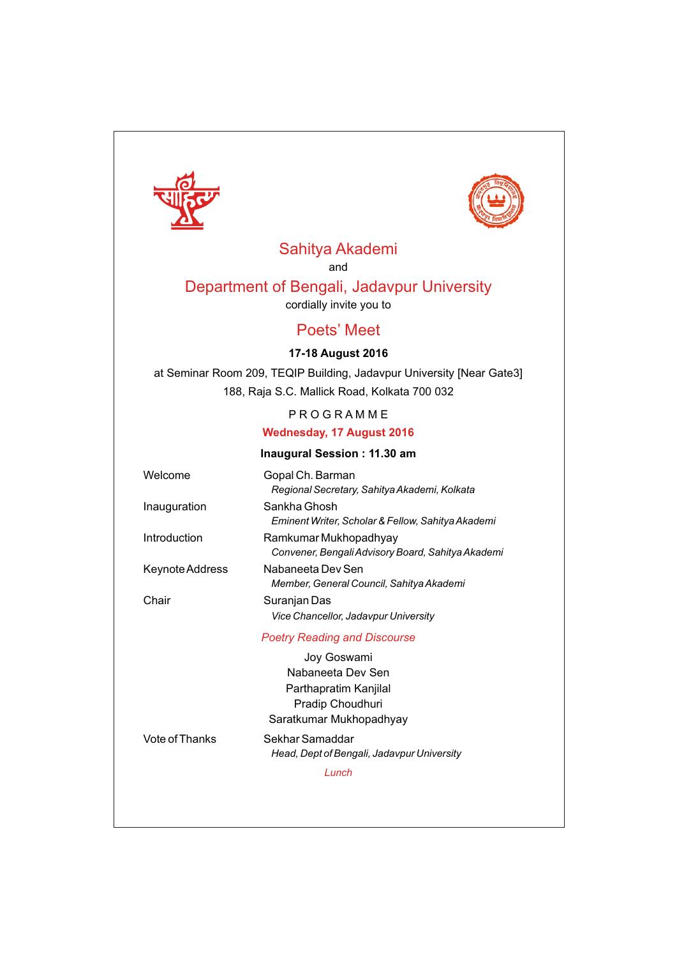



# Sahitya Akademi

and

# Department of Bengali, Jadavpur University

cordially invite you to

# Poets' Meet

# **17-18 August 2016**

at Seminar Room 209, TEQIP Building, Jadavpur University [Near Gate3] 188, Raja S.C. Mallick Road, Kolkata 700 032

# P R O G R A M M E

# **Wednesday, 17 August 2016**

### **Inaugural Session : 11.30 am**

| Welcome                          | Gopal Ch. Barman<br>Regional Secretary, Sahitya Akademi, Kolkata           |  |  |
|----------------------------------|----------------------------------------------------------------------------|--|--|
| Inauguration                     | Sankha Ghosh<br>Eminent Writer, Scholar & Fellow, Sahitya Akademi          |  |  |
| Introduction                     | Ramkumar Mukhopadhyay<br>Convener, Bengali Advisory Board, Sahitya Akademi |  |  |
| Keynote Address                  | Nabaneeta Dev Sen<br>Member, General Council, Sahitya Akademi              |  |  |
| Chair                            | Suranjan Das<br>Vice Chancellor, Jadavpur University                       |  |  |
|                                  | <b>Poetry Reading and Discourse</b>                                        |  |  |
| Joy Goswami<br>Nabaneeta Dev Sen |                                                                            |  |  |
|                                  |                                                                            |  |  |
|                                  | Pradip Choudhuri                                                           |  |  |

Saratkumar Mukhopadhyay

Vote of Thanks Sekhar Samaddar

*Head, Dept of Bengali, Jadavpur University*

*Lunch*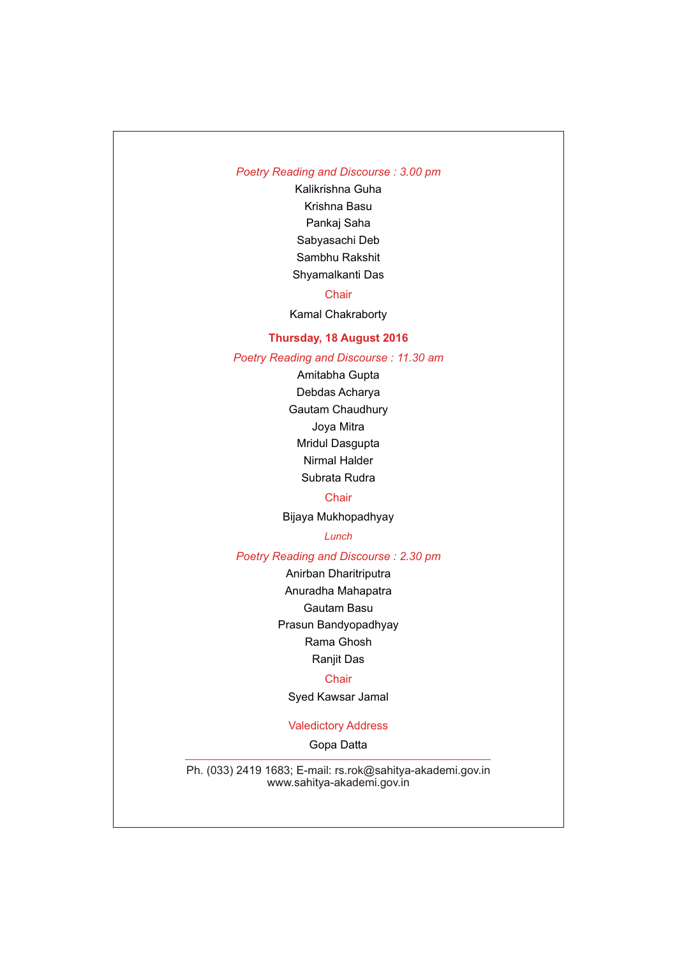# *Poetry Reading and Discourse : 3.00 pm*

Kalikrishna Guha Krishna Basu Pankaj Saha Sabyasachi Deb Sambhu Rakshit Shyamalkanti Das

### **Chair**

Kamal Chakraborty

### **Thursday, 18 August 2016**

*Poetry Reading and Discourse : 11.30 am*

Amitabha Gupta Debdas Acharya Gautam Chaudhury Joya Mitra Mridul Dasgupta Nirmal Halder

Subrata Rudra

### **Chair**

Bijaya Mukhopadhyay

#### *Lunch*

*Poetry Reading and Discourse : 2.30 pm*

Anirban Dharitriputra

Anuradha Mahapatra Gautam Basu Prasun Bandyopadhyay

Rama Ghosh

Ranjit Das

#### **Chair**

Syed Kawsar Jamal

### Valedictory Address

Gopa Datta

Ph. (033) 2419 1683; E-mail: rs.rok@sahitya-akademi.gov.in www.sahitya-akademi.gov.in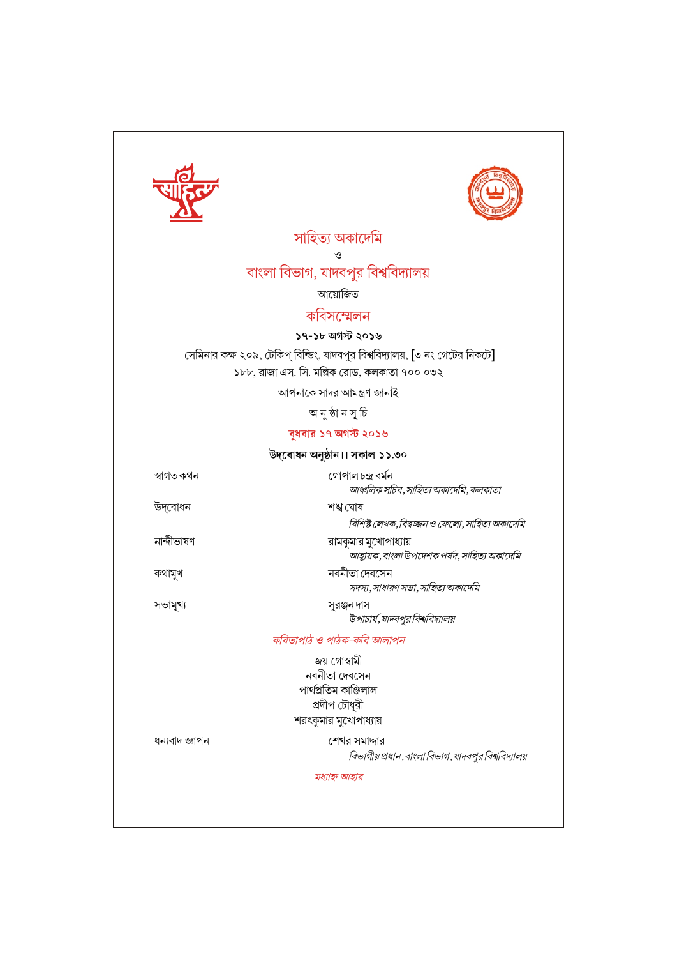



 $\mathcal{O}$ 

# বাংলা বিভাগ, যাদবপুর বিশ্ববিদ্যালয়

আয়োজিত

# কবিসম্মেলন

# ১৭-১৮ অগস্ট ২০১৬

সেমিনার কক্ষ ২০৯, টেকিপ্ বিল্ডিং, যাদবপুর বিশ্ববিদ্যালয়, [৩ নং গেটের নিকটে] ১৮৮, রাজা এস. সি. মল্লিক রোড, কলকাতা ৭০০ ০৩২

আপনাকে সাদর আমন্ত্রণ জানাই

অনুষ্ঠান সূচি

# বুধবার ১৭ অগস্ট ২০১৬

| উদ্বোধন অনুষ্ঠান।। সকাল ১১.৩০ |  |  |  |  |
|-------------------------------|--|--|--|--|
|-------------------------------|--|--|--|--|

| স্বাগত কথন | গোপালচন্দ্ৰ বৰ্মন<br>আঞ্চলিক সচিব, সাহিত্য অকাদেমি, কলকাতা |
|------------|------------------------------------------------------------|
| উদ্বোধন    | শঙ্খ ঘোষ                                                   |
|            | বিশিষ্ট লেখক, বিদ্বজ্জন ও ফেলো, সাহিত্য অকাদেমি            |

রামকুমার মুখোপাধ্যায় .<br>আহ্বায়ক, বাংলা উপদেশক পর্যদ, সাহিত্য অকাদেমি নবনীতা দেবসেন

সদস্য, সাধারণ সভা, সাহিত্য অকাদেমি

সুরঞ্জনদাস উপাচার্য,যাদবপুর বিশ্ববিদ্যালয়

কবিতাপাঠ ও পাঠক-কবি আলাপন

জয় গোস্বামী

নবনীতা দেবসেন পাৰ্থপ্ৰতিম কাঞ্জিলাল প্রদীপ চৌধুরী শরৎকুমার মুখোপাধ্যায়

ধন্যবাদ জ্ঞাপন

নান্দীভাষণ

কথামুখ

সভামুখ্য

শেখর সমাদ্দার বিভাগীয় প্রধান, বাংলা বিভাগ, যাদবপুর বিশ্ববিদ্যালয়

মধ্যাহ্ন আহার